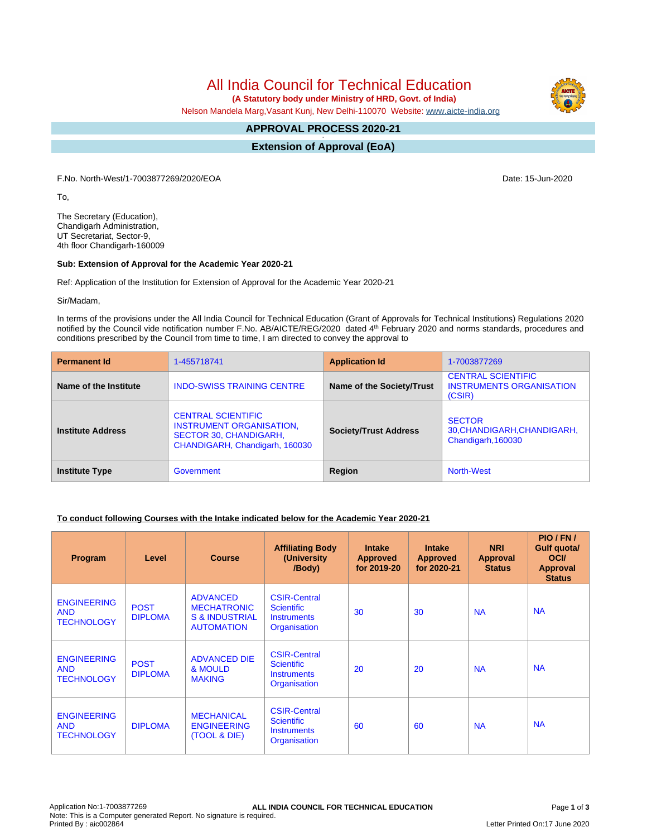# All India Council for Technical Education

 **(A Statutory body under Ministry of HRD, Govt. of India)**

Nelson Mandela Marg,Vasant Kunj, New Delhi-110070 Website: [www.aicte-india.org](http://www.aicte-india.org)

#### **APPROVAL PROCESS 2020-21 -**

**Extension of Approval (EoA)**

F.No. North-West/1-7003877269/2020/EOA Date: 15-Jun-2020

To,

The Secretary (Education), Chandigarh Administration, UT Secretariat, Sector-9, 4th floor Chandigarh-160009

#### **Sub: Extension of Approval for the Academic Year 2020-21**

Ref: Application of the Institution for Extension of Approval for the Academic Year 2020-21

Sir/Madam,

In terms of the provisions under the All India Council for Technical Education (Grant of Approvals for Technical Institutions) Regulations 2020 notified by the Council vide notification number F.No. AB/AICTE/REG/2020 dated 4<sup>th</sup> February 2020 and norms standards, procedures and conditions prescribed by the Council from time to time, I am directed to convey the approval to

| <b>Permanent Id</b>      | 1-455718741                                                                                                              | <b>Application Id</b>        | 1-7003877269                                                           |
|--------------------------|--------------------------------------------------------------------------------------------------------------------------|------------------------------|------------------------------------------------------------------------|
| Name of the Institute    | <b>INDO-SWISS TRAINING CENTRE</b>                                                                                        | Name of the Society/Trust    | <b>CENTRAL SCIENTIFIC</b><br><b>INSTRUMENTS ORGANISATION</b><br>(CSIR) |
| <b>Institute Address</b> | <b>CENTRAL SCIENTIFIC</b><br><b>INSTRUMENT ORGANISATION.</b><br>SECTOR 30, CHANDIGARH,<br>CHANDIGARH, Chandigarh, 160030 | <b>Society/Trust Address</b> | <b>SECTOR</b><br>30, CHANDIGARH, CHANDIGARH,<br>Chandigarh, 160030     |
| <b>Institute Type</b>    | Government                                                                                                               | Region                       | <b>North-West</b>                                                      |

#### **To conduct following Courses with the Intake indicated below for the Academic Year 2020-21**

| Program                                               | Level                         | <b>Course</b>                                                                           | <b>Affiliating Body</b><br>(University<br>/Body)                               | <b>Intake</b><br><b>Approved</b><br>for 2019-20 | <b>Intake</b><br><b>Approved</b><br>for 2020-21 | <b>NRI</b><br>Approval<br><b>Status</b> | PIO/FN/<br>Gulf quota/<br><b>OCI</b><br><b>Approval</b><br><b>Status</b> |
|-------------------------------------------------------|-------------------------------|-----------------------------------------------------------------------------------------|--------------------------------------------------------------------------------|-------------------------------------------------|-------------------------------------------------|-----------------------------------------|--------------------------------------------------------------------------|
| <b>ENGINEERING</b><br><b>AND</b><br><b>TECHNOLOGY</b> | <b>POST</b><br><b>DIPLOMA</b> | <b>ADVANCED</b><br><b>MECHATRONIC</b><br><b>S &amp; INDUSTRIAL</b><br><b>AUTOMATION</b> | <b>CSIR-Central</b><br><b>Scientific</b><br><b>Instruments</b><br>Organisation | 30                                              | 30                                              | <b>NA</b>                               | <b>NA</b>                                                                |
| <b>ENGINEERING</b><br><b>AND</b><br><b>TECHNOLOGY</b> | <b>POST</b><br><b>DIPLOMA</b> | <b>ADVANCED DIE</b><br>& MOULD<br><b>MAKING</b>                                         | <b>CSIR-Central</b><br><b>Scientific</b><br><b>Instruments</b><br>Organisation | 20                                              | 20                                              | <b>NA</b>                               | <b>NA</b>                                                                |
| <b>ENGINEERING</b><br><b>AND</b><br><b>TECHNOLOGY</b> | <b>DIPLOMA</b>                | <b>MECHANICAL</b><br><b>ENGINEERING</b><br>(TOOL & DIE)                                 | <b>CSIR-Central</b><br><b>Scientific</b><br><b>Instruments</b><br>Organisation | 60                                              | 60                                              | <b>NA</b>                               | <b>NA</b>                                                                |

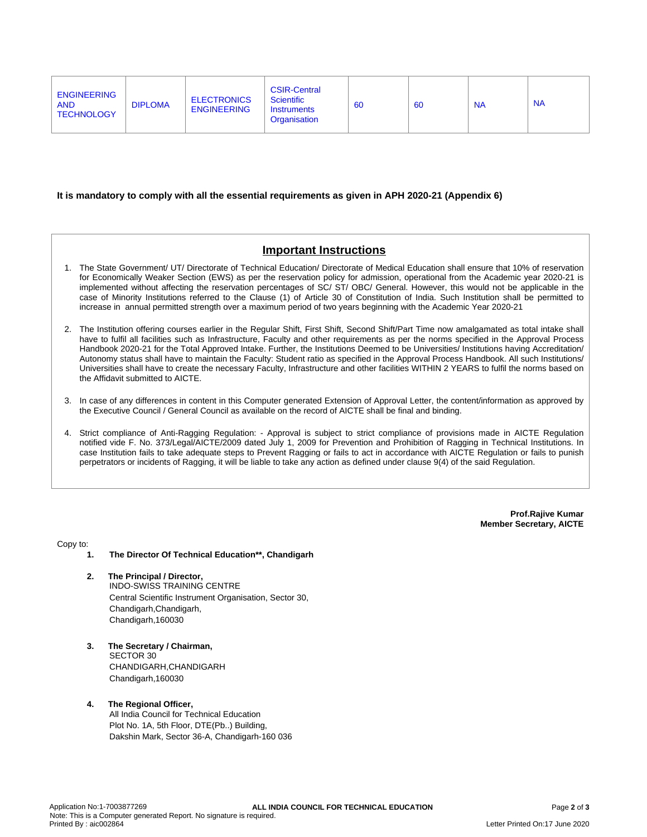| <b>CSIR-Central</b><br><b>ENGINEERING</b><br><b>ELECTRONICS</b><br><b>Scientific</b><br><b>NA</b><br><b>DIPLOMA</b><br><b>NA</b><br><b>AND</b><br>-60<br>60<br><b>ENGINEERING</b><br>Instruments<br><b>TECHNOLOGY</b><br>Organisation |  |  |
|---------------------------------------------------------------------------------------------------------------------------------------------------------------------------------------------------------------------------------------|--|--|
|---------------------------------------------------------------------------------------------------------------------------------------------------------------------------------------------------------------------------------------|--|--|

#### **It is mandatory to comply with all the essential requirements as given in APH 2020-21 (Appendix 6)**

## **Important Instructions**

- 1. The State Government/ UT/ Directorate of Technical Education/ Directorate of Medical Education shall ensure that 10% of reservation for Economically Weaker Section (EWS) as per the reservation policy for admission, operational from the Academic year 2020-21 is implemented without affecting the reservation percentages of SC/ ST/ OBC/ General. However, this would not be applicable in the case of Minority Institutions referred to the Clause (1) of Article 30 of Constitution of India. Such Institution shall be permitted to increase in annual permitted strength over a maximum period of two years beginning with the Academic Year 2020-21
- 2. The Institution offering courses earlier in the Regular Shift, First Shift, Second Shift/Part Time now amalgamated as total intake shall have to fulfil all facilities such as Infrastructure, Faculty and other requirements as per the norms specified in the Approval Process Handbook 2020-21 for the Total Approved Intake. Further, the Institutions Deemed to be Universities/ Institutions having Accreditation/ Autonomy status shall have to maintain the Faculty: Student ratio as specified in the Approval Process Handbook. All such Institutions/ Universities shall have to create the necessary Faculty, Infrastructure and other facilities WITHIN 2 YEARS to fulfil the norms based on the Affidavit submitted to AICTE.
- 3. In case of any differences in content in this Computer generated Extension of Approval Letter, the content/information as approved by the Executive Council / General Council as available on the record of AICTE shall be final and binding.
- 4. Strict compliance of Anti-Ragging Regulation: Approval is subject to strict compliance of provisions made in AICTE Regulation notified vide F. No. 373/Legal/AICTE/2009 dated July 1, 2009 for Prevention and Prohibition of Ragging in Technical Institutions. In case Institution fails to take adequate steps to Prevent Ragging or fails to act in accordance with AICTE Regulation or fails to punish perpetrators or incidents of Ragging, it will be liable to take any action as defined under clause 9(4) of the said Regulation.

**Prof.Rajive Kumar Member Secretary, AICTE**

Copy to:

- **1. The Director Of Technical Education\*\*, Chandigarh**
- **2. The Principal / Director,** INDO-SWISS TRAINING CENTRE Central Scientific Instrument Organisation, Sector 30, Chandigarh,Chandigarh, Chandigarh,160030
- **3. The Secretary / Chairman,** SECTOR 30 CHANDIGARH,CHANDIGARH Chandigarh,160030
- **4. The Regional Officer,** All India Council for Technical Education Plot No. 1A, 5th Floor, DTE(Pb..) Building, Dakshin Mark, Sector 36-A, Chandigarh-160 036